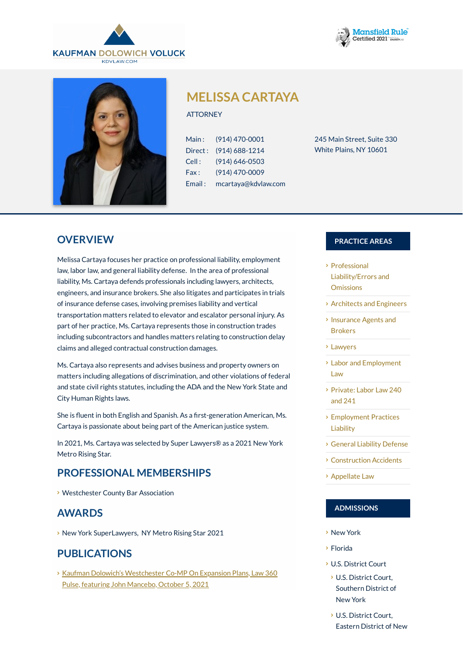





# **MELISSA CARTAYA**

**ATTORNEY** 

| Main:   | (914) 470-0001      |
|---------|---------------------|
| Direct: | $(914) 688 - 1214$  |
| Cell:   | (914) 646-0503      |
| Fax:    | (914) 470-0009      |
| Email:  | mcartaya@kdvlaw.com |

245 Main Street, Suite 330 White Plains, NY 10601

### **OVERVIEW**

Melissa Cartaya focuses her practice on professional liability, employment law, labor law, and general liability defense. In the area of professional liability, Ms. Cartaya defends professionals including lawyers, architects, engineers, and insurance brokers. She also litigates and participates in trials of insurance defense cases, involving premises liability and vertical transportation matters related to elevator and escalator personal injury. As part of her practice, Ms. Cartaya represents those in construction trades including subcontractors and handles matters relating to construction delay claims and alleged contractual construction damages.

Ms. Cartaya also represents and advises business and property owners on matters including allegations of discrimination, and other violations of federal and state civil rights statutes, including the ADA and the New York State and City Human Rights laws.

She is fluent in both English and Spanish. As a first-generation American, Ms. Cartaya is passionate about being part of the American justice system.

In 2021, Ms. Cartaya was selected by Super Lawyers® as a 2021 New York Metro Rising Star.

## **PROFESSIONAL MEMBERSHIPS**

Westchester County Bar Association

### **AWARDS**

**New York SuperLawyers, NY Metro Rising Star 2021** 

### **PUBLICATIONS**

Kaufman Dolowich's [Westchester](https://www.kdvlaw.com/news-resources/kaufman-dolowichs-westchester-co-mp-on-expansion-plans-law-360-pulse-featuring-john-mancebo-october-5-2021/) Co-MP On Expansion Plans, Law 360 Pulse, featuring John Mancebo, October 5, 2021

#### **PRACTICE AREAS**

- Professional [Liability/Errors](https://www.kdvlaw.com/practice-areas/professional-liability-errors-and-omissions/) and **Omissions**
- [Architects](https://www.kdvlaw.com/practice-areas/professional-liability-errors-and-omissions/architects-and-engineers/) and Engineers
- **[Insurance](https://www.kdvlaw.com/practice-areas/professional-liability-errors-and-omissions/insurance-agents-and-brokers/) Agents and** Brokers
- [Lawyers](https://www.kdvlaw.com/practice-areas/professional-liability-errors-and-omissions/lawyers/)
- Labor and [Employment](https://www.kdvlaw.com/practice-areas/labor-and-employment-law/) Law
- [Private:](https://www.kdvlaw.com/?post_type=practices&p=299645) Labor Law 240 and 241
- [Employment](https://www.kdvlaw.com/practice-areas/insurance-coverage-litigation/employment-practices-liability/) Practices Liability
- General Liability [Defense](https://www.kdvlaw.com/practice-areas/general-liability/)
- [Construction](https://www.kdvlaw.com/practice-areas/general-liability/construction-and-labor-law/) Accidents
- [Appellate](https://www.kdvlaw.com/practice-areas/appellate-law/) Law

#### **ADMISSIONS**

- New York
- Florida
- U.S. District Court
	- U.S. District Court, Southern District of New York
	- U.S. District Court, Eastern District of New